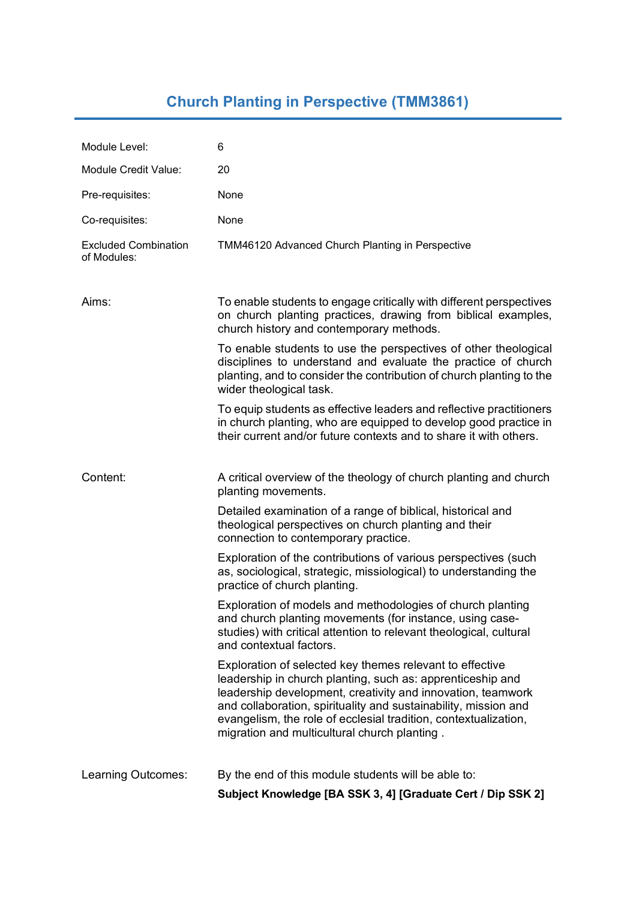## **Church Planting in Perspective (TMM3861)**

| Module Level:                              | 6                                                                                                                                                                                                                                                                                                                                                                           |
|--------------------------------------------|-----------------------------------------------------------------------------------------------------------------------------------------------------------------------------------------------------------------------------------------------------------------------------------------------------------------------------------------------------------------------------|
| Module Credit Value:                       | 20                                                                                                                                                                                                                                                                                                                                                                          |
| Pre-requisites:                            | None                                                                                                                                                                                                                                                                                                                                                                        |
| Co-requisites:                             | None                                                                                                                                                                                                                                                                                                                                                                        |
| <b>Excluded Combination</b><br>of Modules: | TMM46120 Advanced Church Planting in Perspective                                                                                                                                                                                                                                                                                                                            |
| Aims:                                      | To enable students to engage critically with different perspectives<br>on church planting practices, drawing from biblical examples,<br>church history and contemporary methods.                                                                                                                                                                                            |
|                                            | To enable students to use the perspectives of other theological<br>disciplines to understand and evaluate the practice of church<br>planting, and to consider the contribution of church planting to the<br>wider theological task.                                                                                                                                         |
|                                            | To equip students as effective leaders and reflective practitioners<br>in church planting, who are equipped to develop good practice in<br>their current and/or future contexts and to share it with others.                                                                                                                                                                |
| Content:                                   | A critical overview of the theology of church planting and church<br>planting movements.                                                                                                                                                                                                                                                                                    |
|                                            | Detailed examination of a range of biblical, historical and<br>theological perspectives on church planting and their<br>connection to contemporary practice.                                                                                                                                                                                                                |
|                                            | Exploration of the contributions of various perspectives (such<br>as, sociological, strategic, missiological) to understanding the<br>practice of church planting.                                                                                                                                                                                                          |
|                                            | Exploration of models and methodologies of church planting<br>and church planting movements (for instance, using case-<br>studies) with critical attention to relevant theological, cultural<br>and contextual factors.                                                                                                                                                     |
|                                            | Exploration of selected key themes relevant to effective<br>leadership in church planting, such as: apprenticeship and<br>leadership development, creativity and innovation, teamwork<br>and collaboration, spirituality and sustainability, mission and<br>evangelism, the role of ecclesial tradition, contextualization,<br>migration and multicultural church planting. |
| Learning Outcomes:                         | By the end of this module students will be able to:                                                                                                                                                                                                                                                                                                                         |
|                                            | Subject Knowledge [BA SSK 3, 4] [Graduate Cert / Dip SSK 2]                                                                                                                                                                                                                                                                                                                 |